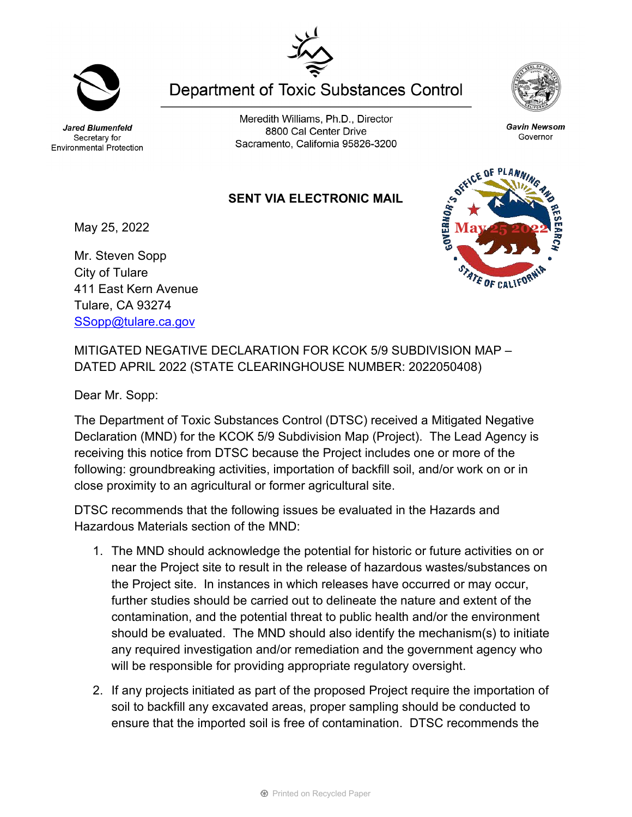Jared Blumenfeld Secretary for **Environmental Protection** 

Meredith Williams, Ph.D., Director 8800 Cal Center Drive Sacramento, California 95826-3200

Gavin Newsom Governor

## **SENT VIA ELECTRONIC MAIL**

May 25, 2022

Mr. Steven Sopp City of Tulare 411 East Kern Avenue Tulare, CA 93274 [SSopp@tulare.ca.gov](mailto:SSopp@tulare.ca.gov)

MITIGATED NEGATIVE DECLARATION FOR KCOK 5/9 SUBDIVISION MAP – DATED APRIL 2022 (STATE CLEARINGHOUSE NUMBER: 2022050408)

Dear Mr. Sopp:

The Department of Toxic Substances Control (DTSC) received a Mitigated Negative Declaration (MND) for the KCOK 5/9 Subdivision Map (Project). The Lead Agency is receiving this notice from DTSC because the Project includes one or more of the following: groundbreaking activities, importation of backfill soil, and/or work on or in close proximity to an agricultural or former agricultural site.

DTSC recommends that the following issues be evaluated in the Hazards and Hazardous Materials section of the MND:

- 1. The MND should acknowledge the potential for historic or future activities on or near the Project site to result in the release of hazardous wastes/substances on the Project site. In instances in which releases have occurred or may occur, further studies should be carried out to delineate the nature and extent of the contamination, and the potential threat to public health and/or the environment should be evaluated. The MND should also identify the mechanism(s) to initiate any required investigation and/or remediation and the government agency who will be responsible for providing appropriate regulatory oversight.
- 2. If any projects initiated as part of the proposed Project require the importation of soil to backfill any excavated areas, proper sampling should be conducted to ensure that the imported soil is free of contamination. DTSC recommends the



**Department of Toxic Substances Control** 





STATE OF CALIFOR